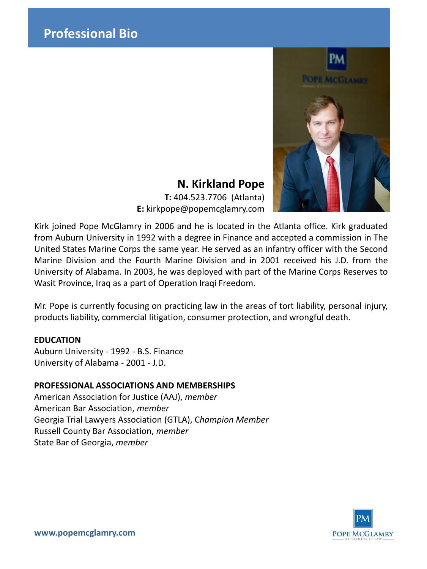

# **N. Kirkland Pope T:** 404.523.7706 (Atlanta) **E:** kirkpope@popemcglamry.com

Kirk joined Pope McGlamry in 2006 and he is located in the Atlanta office. Kirk graduated from Auburn University in 1992 with a degree in Finance and accepted a commission in The United States Marine Corps the same year. He served as an infantry officer with the Second Marine Division and the Fourth Marine Division and in 2001 received his J.D. from the University of Alabama. In 2003, he was deployed with part of the Marine Corps Reserves to Wasit Province, Iraq as a part of Operation Iraqi Freedom.

Mr. Pope is currently focusing on practicing law in the areas of tort liability, personal injury, products liability, commercial litigation, consumer protection, and wrongful death.

## **EDUCATION**

Auburn University - 1992 - B.S. Finance University of Alabama - 2001 - J.D.

### **PROFESSIONAL ASSOCIATIONS AND MEMBERSHIPS**

American Association for Justice (AAJ), *member* American Bar Association, *member* Georgia Trial Lawyers Association (GTLA), C*hampion Member* Russell County Bar Association, *member* State Bar of Georgia, *member*